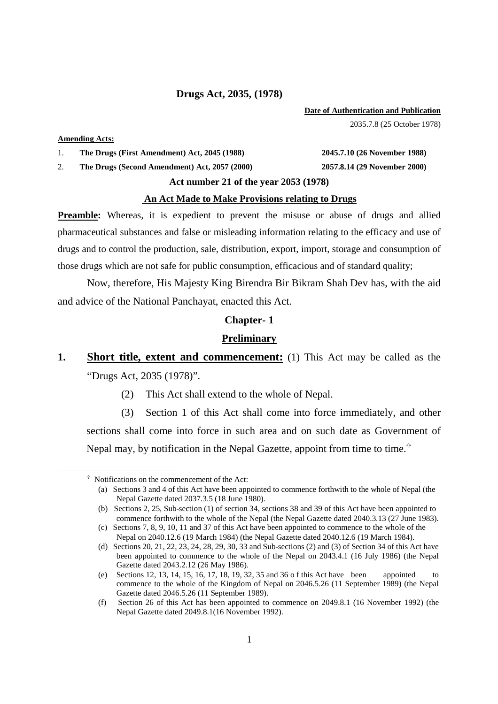#### **Drugs Act, 2035, (1978)**

#### **Date of Authentication and Publication**

2035.7.8 (25 October 1978)

#### **Amending Acts:**

 $\overline{a}$ 

1. **The Drugs (First Amendment) Act, 2045 (1988) 2045.7.10 (26 November 1988)** 

2. **The Drugs (Second Amendment) Act, 2057 (2000) 2057.8.14 (29 November 2000)** 

# **Act number 21 of the year 2053 (1978)**

#### **An Act Made to Make Provisions relating to Drugs**

**Preamble:** Whereas, it is expedient to prevent the misuse or abuse of drugs and allied pharmaceutical substances and false or misleading information relating to the efficacy and use of drugs and to control the production, sale, distribution, export, import, storage and consumption of those drugs which are not safe for public consumption, efficacious and of standard quality;

 Now, therefore, His Majesty King Birendra Bir Bikram Shah Dev has, with the aid and advice of the National Panchayat, enacted this Act.

#### **Chapter- 1**

## **Preliminary**

- **1. Short title, extent and commencement:** (1) This Act may be called as the "Drugs Act, 2035 (1978)".
	- (2) This Act shall extend to the whole of Nepal.

(3) Section 1 of this Act shall come into force immediately, and other sections shall come into force in such area and on such date as Government of Nepal may, by notification in the Nepal Gazette, appoint from time to time.<sup> $\hat{\tau}$ </sup>

 Notifications on the commencement of the Act:

 <sup>(</sup>a) Sections 3 and 4 of this Act have been appointed to commence forthwith to the whole of Nepal (the Nepal Gazette dated 2037.3.5 (18 June 1980).

<sup>(</sup>b) Sections 2, 25, Sub-section (1) of section 34, sections 38 and 39 of this Act have been appointed to commence forthwith to the whole of the Nepal (the Nepal Gazette dated 2040.3.13 (27 June 1983).

 <sup>(</sup>c) Sections 7, 8, 9, 10, 11 and 37 of this Act have been appointed to commence to the whole of the Nepal on 2040.12.6 (19 March 1984) (the Nepal Gazette dated 2040.12.6 (19 March 1984).

 <sup>(</sup>d) Sections 20, 21, 22, 23, 24, 28, 29, 30, 33 and Sub-sections (2) and (3) of Section 34 of this Act have been appointed to commence to the whole of the Nepal on 2043.4.1 (16 July 1986) (the Nepal Gazette dated 2043.2.12 (26 May 1986).

 <sup>(</sup>e) Sections 12, 13, 14, 15, 16, 17, 18, 19, 32, 35 and 36 o f this Act have been appointed to commence to the whole of the Kingdom of Nepal on 2046.5.26 (11 September 1989) (the Nepal Gazette dated 2046.5.26 (11 September 1989).

 <sup>(</sup>f) Section 26 of this Act has been appointed to commence on 2049.8.1 (16 November 1992) (the Nepal Gazette dated 2049.8.1(16 November 1992).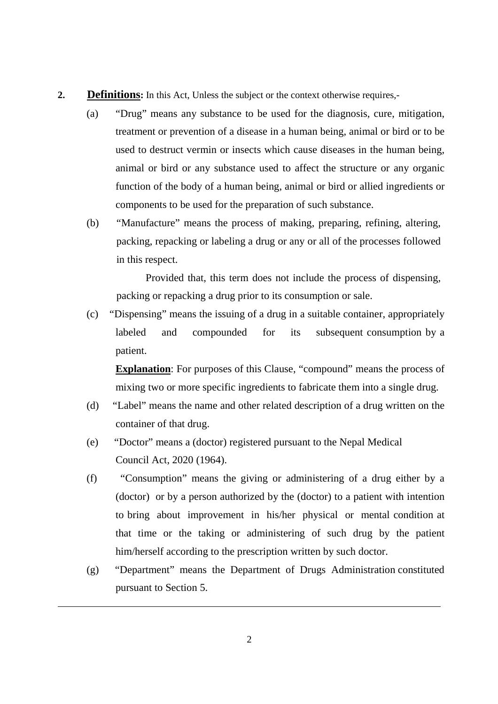- **2. Definitions:** In this Act, Unless the subject or the context otherwise requires,-
	- (a) "Drug" means any substance to be used for the diagnosis, cure, mitigation, treatment or prevention of a disease in a human being, animal or bird or to be used to destruct vermin or insects which cause diseases in the human being, animal or bird or any substance used to affect the structure or any organic function of the body of a human being, animal or bird or allied ingredients or components to be used for the preparation of such substance.
	- (b) "Manufacture" means the process of making, preparing, refining, altering, packing, repacking or labeling a drug or any or all of the processes followed in this respect.

 Provided that, this term does not include the process of dispensing, packing or repacking a drug prior to its consumption or sale.

(c) "Dispensing" means the issuing of a drug in a suitable container, appropriately labeled and compounded for its subsequent consumption by a patient.

**Explanation:** For purposes of this Clause, "compound" means the process of mixing two or more specific ingredients to fabricate them into a single drug.

- (d) "Label" means the name and other related description of a drug written on the container of that drug.
- (e) "Doctor" means a (doctor) registered pursuant to the Nepal Medical Council Act, 2020 (1964).
- (f) "Consumption" means the giving or administering of a drug either by a (doctor) or by a person authorized by the (doctor) to a patient with intention to bring about improvement in his/her physical or mental condition at that time or the taking or administering of such drug by the patient him/herself according to the prescription written by such doctor.
- (g) "Department" means the Department of Drugs Administration constituted pursuant to Section 5.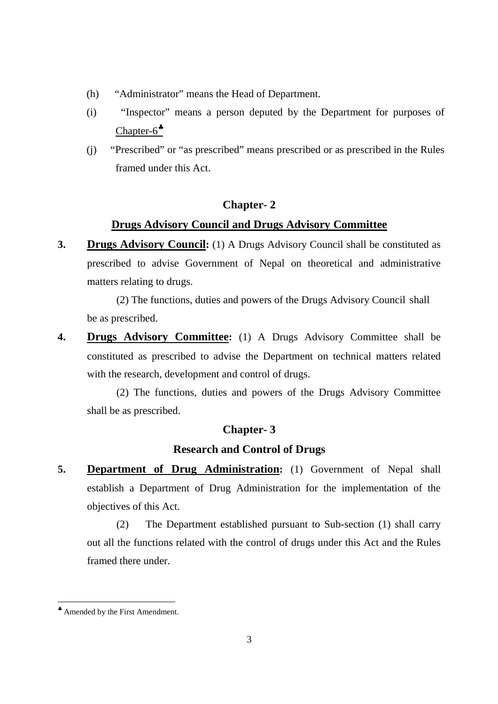- (h) "Administrator" means the Head of Department.
- (i) "Inspector" means a person deputed by the Department for purposes of Chapter-6<sup> $*$ </sup>
- (j) "Prescribed" or "as prescribed" means prescribed or as prescribed in the Rules framed under this Act.

# **Chapter- 2**

# **Drugs Advisory Council and Drugs Advisory Committee**

**3. Drugs Advisory Council:** (1) A Drugs Advisory Council shall be constituted as prescribed to advise Government of Nepal on theoretical and administrative matters relating to drugs.

 (2) The functions, duties and powers of the Drugs Advisory Council shall be as prescribed.

**4. Drugs Advisory Committee:** (1) A Drugs Advisory Committee shall be constituted as prescribed to advise the Department on technical matters related with the research, development and control of drugs.

 (2) The functions, duties and powers of the Drugs Advisory Committee shall be as prescribed.

# **Chapter- 3**

# **Research and Control of Drugs**

**5. Department of Drug Administration:** (1) Government of Nepal shall establish a Department of Drug Administration for the implementation of the objectives of this Act.

 (2) The Department established pursuant to Sub-section (1) shall carry out all the functions related with the control of drugs under this Act and the Rules framed there under.

<sup>♣</sup> Amended by the First Amendment.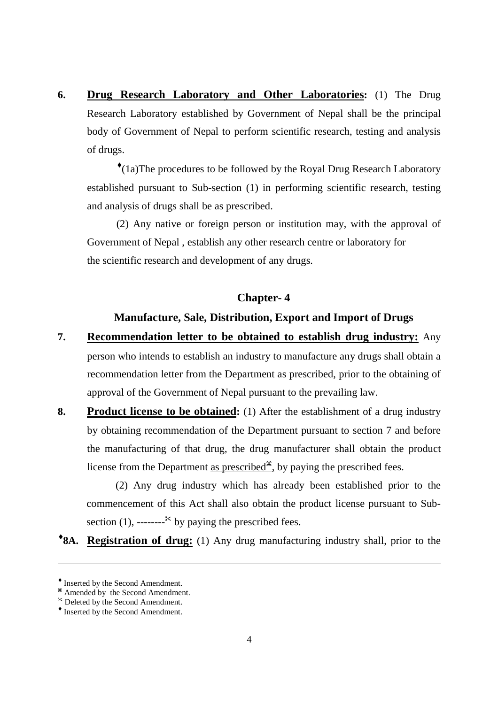**6. Drug Research Laboratory and Other Laboratories:** (1) The Drug Research Laboratory established by Government of Nepal shall be the principal body of Government of Nepal to perform scientific research, testing and analysis of drugs.

♦ (1a)The procedures to be followed by the Royal Drug Research Laboratory established pursuant to Sub-section (1) in performing scientific research, testing and analysis of drugs shall be as prescribed.

 (2) Any native or foreign person or institution may, with the approval of Government of Nepal , establish any other research centre or laboratory for the scientific research and development of any drugs.

# **Chapter- 4**

# **Manufacture, Sale, Distribution, Export and Import of Drugs**

- **7. Recommendation letter to be obtained to establish drug industry:** Any person who intends to establish an industry to manufacture any drugs shall obtain a recommendation letter from the Department as prescribed, prior to the obtaining of approval of the Government of Nepal pursuant to the prevailing law.
- **8. Product license to be obtained:** (1) After the establishment of a drug industry by obtaining recommendation of the Department pursuant to section 7 and before the manufacturing of that drug, the drug manufacturer shall obtain the product license from the Department <u>as prescribed<sup> $#$ </sup></u>, by paying the prescribed fees.

(2) Any drug industry which has already been established prior to the commencement of this Act shall also obtain the product license pursuant to Subsection (1), -------- $\ast$  by paying the prescribed fees.

**\*8A.** Registration of drug: (1) Any drug manufacturing industry shall, prior to the

<sup>♦</sup> Inserted by the Second Amendment.

<sup>&</sup>lt;sup>\*</sup> Amended by the Second Amendment.

Deleted by the Second Amendment.

<sup>♦</sup> Inserted by the Second Amendment.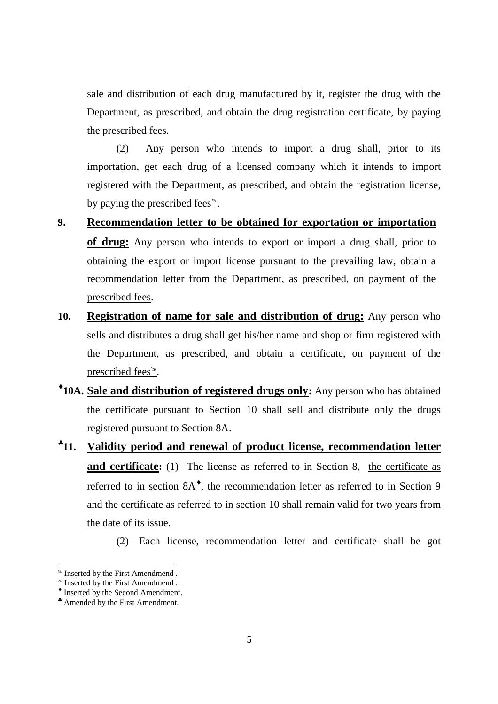sale and distribution of each drug manufactured by it, register the drug with the Department, as prescribed, and obtain the drug registration certificate, by paying the prescribed fees.

 (2) Any person who intends to import a drug shall, prior to its importation, get each drug of a licensed company which it intends to import registered with the Department, as prescribed, and obtain the registration license, by paying the prescribed fees $\leq$ .

- **9. Recommendation letter to be obtained for exportation or importation of drug:** Any person who intends to export or import a drug shall, prior to obtaining the export or import license pursuant to the prevailing law, obtain a recommendation letter from the Department, as prescribed, on payment of the prescribed fees.
- **10. Registration of name for sale and distribution of drug:** Any person who sells and distributes a drug shall get his/her name and shop or firm registered with the Department, as prescribed, and obtain a certificate, on payment of the prescribed fees $\leq$ .
- ♦ **10A. Sale and distribution of registered drugs only:** Any person who has obtained the certificate pursuant to Section 10 shall sell and distribute only the drugs registered pursuant to Section 8A.
- ♣ **11. Validity period and renewal of product license, recommendation letter and certificate:** (1) The license as referred to in Section 8, the certificate as referred to in section  $8A^*$ , the recommendation letter as referred to in Section 9 and the certificate as referred to in section 10 shall remain valid for two years from the date of its issue.
	- (2) Each license, recommendation letter and certificate shall be got

<sup>&</sup>lt;sup>®</sup> Inserted by the First Amendmend.

<sup>&</sup>lt;sup>®</sup> Inserted by the First Amendmend .

<sup>♦</sup> Inserted by the Second Amendment.

<sup>♣</sup> Amended by the First Amendment.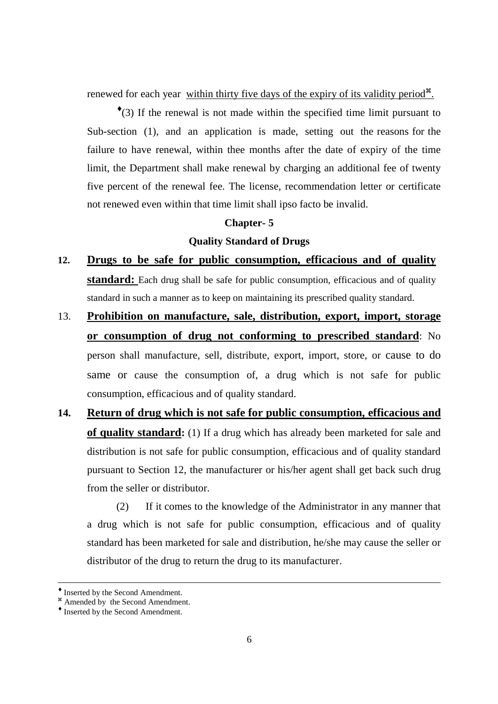renewed for each year within thirty five days of the expiry of its validity period<sup>\*\*</sup>.

♦ (3) If the renewal is not made within the specified time limit pursuant to Sub-section (1), and an application is made, setting out the reasons for the failure to have renewal, within thee months after the date of expiry of the time limit, the Department shall make renewal by charging an additional fee of twenty five percent of the renewal fee. The license, recommendation letter or certificate not renewed even within that time limit shall ipso facto be invalid.

## **Chapter- 5**

# **Quality Standard of Drugs**

- **12. Drugs to be safe for public consumption, efficacious and of quality standard:** Each drug shall be safe for public consumption, efficacious and of quality standard in such a manner as to keep on maintaining its prescribed quality standard.
- 13. **Prohibition on manufacture, sale, distribution, export, import, storage or consumption of drug not conforming to prescribed standard**: No person shall manufacture, sell, distribute, export, import, store, or cause to do same or cause the consumption of, a drug which is not safe for public consumption, efficacious and of quality standard.
- **14. Return of drug which is not safe for public consumption, efficacious and of quality standard:** (1) If a drug which has already been marketed for sale and distribution is not safe for public consumption, efficacious and of quality standard pursuant to Section 12, the manufacturer or his/her agent shall get back such drug from the seller or distributor.

 (2) If it comes to the knowledge of the Administrator in any manner that a drug which is not safe for public consumption, efficacious and of quality standard has been marketed for sale and distribution, he/she may cause the seller or distributor of the drug to return the drug to its manufacturer.

<sup>♦</sup> Inserted by the Second Amendment.

<sup>&</sup>lt;sup>#</sup> Amended by the Second Amendment.

<sup>♦</sup> Inserted by the Second Amendment.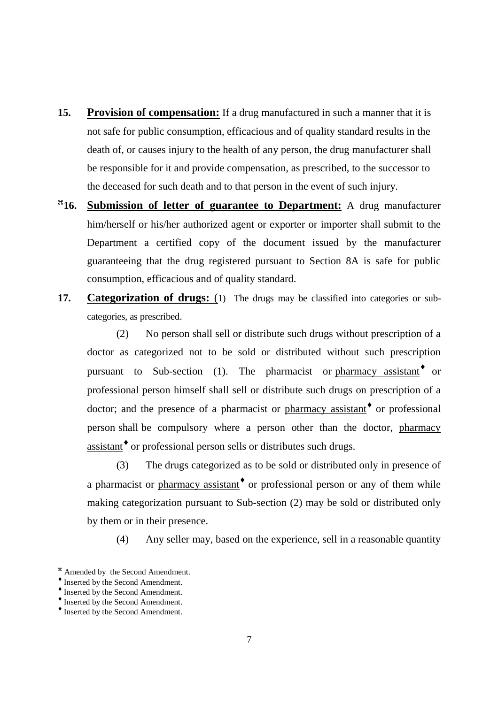- **15. Provision of compensation:** If a drug manufactured in such a manner that it is not safe for public consumption, efficacious and of quality standard results in the death of, or causes injury to the health of any person, the drug manufacturer shall be responsible for it and provide compensation, as prescribed, to the successor to the deceased for such death and to that person in the event of such injury.
- $*16.$ **16. Submission of letter of guarantee to Department:** A drug manufacturer him/herself or his/her authorized agent or exporter or importer shall submit to the Department a certified copy of the document issued by the manufacturer guaranteeing that the drug registered pursuant to Section 8A is safe for public consumption, efficacious and of quality standard.
- 17. **Categorization of drugs:** (1) The drugs may be classified into categories or subcategories, as prescribed.

 (2) No person shall sell or distribute such drugs without prescription of a doctor as categorized not to be sold or distributed without such prescription pursuant to Sub-section (1). The pharmacist or pharmacy assistant<sup>•</sup> or professional person himself shall sell or distribute such drugs on prescription of a doctor; and the presence of a pharmacist or pharmacy assistant<sup>\*</sup> or professional person shall be compulsory where a person other than the doctor, pharmacy assistant<sup>\*</sup> or professional person sells or distributes such drugs.

 (3) The drugs categorized as to be sold or distributed only in presence of a pharmacist or pharmacy assistant<sup>\*</sup> or professional person or any of them while making categorization pursuant to Sub-section (2) may be sold or distributed only by them or in their presence.

(4) Any seller may, based on the experience, sell in a reasonable quantity

<sup>&</sup>lt;sup>38</sup> Amended by the Second Amendment.

<sup>♦</sup> Inserted by the Second Amendment.

<sup>♦</sup> Inserted by the Second Amendment.

<sup>♦</sup> Inserted by the Second Amendment.

<sup>♦</sup> Inserted by the Second Amendment.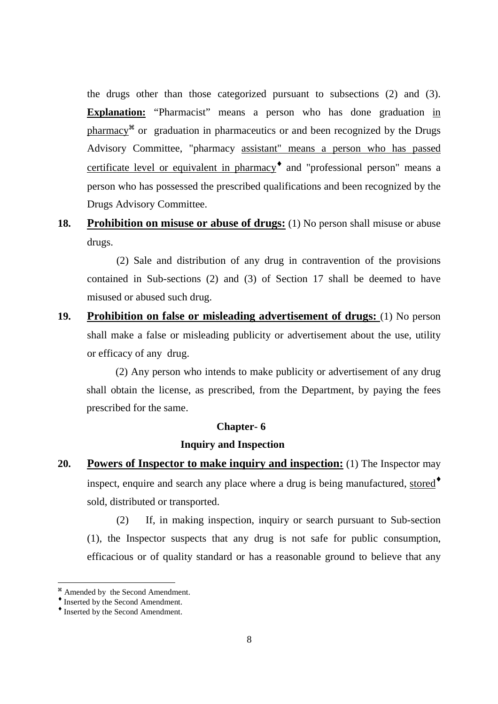the drugs other than those categorized pursuant to subsections (2) and (3). **Explanation:** "Pharmacist" means a person who has done graduation in pharmacy<sup>\*</sup> or graduation in pharmaceutics or and been recognized by the Drugs Advisory Committee, "pharmacy assistant" means a person who has passed certificate level or equivalent in pharmacy<sup>+</sup> and "professional person" means a person who has possessed the prescribed qualifications and been recognized by the Drugs Advisory Committee.

**18. Prohibition on misuse or abuse of drugs:** (1) No person shall misuse or abuse drugs.

 (2) Sale and distribution of any drug in contravention of the provisions contained in Sub-sections (2) and (3) of Section 17 shall be deemed to have misused or abused such drug.

**19. Prohibition on false or misleading advertisement of drugs:** (1) No person shall make a false or misleading publicity or advertisement about the use, utility or efficacy of any drug.

(2) Any person who intends to make publicity or advertisement of any drug shall obtain the license, as prescribed, from the Department, by paying the fees prescribed for the same.

# **Chapter- 6**

# **Inquiry and Inspection**

**20. Powers of Inspector to make inquiry and inspection:** (1) The Inspector may inspect, enquire and search any place where a drug is being manufactured, stored<sup>\*</sup> sold, distributed or transported.

 (2) If, in making inspection, inquiry or search pursuant to Sub-section (1), the Inspector suspects that any drug is not safe for public consumption, efficacious or of quality standard or has a reasonable ground to believe that any

<sup>&</sup>lt;sup>36</sup> Amended by the Second Amendment.

<sup>♦</sup> Inserted by the Second Amendment.

<sup>♦</sup> Inserted by the Second Amendment.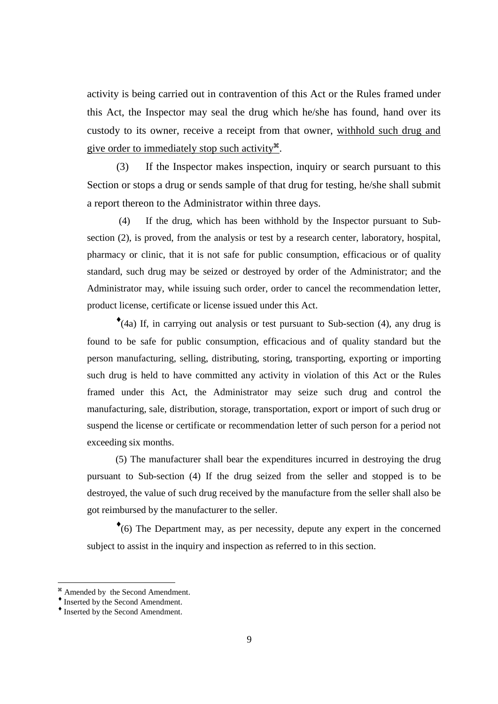activity is being carried out in contravention of this Act or the Rules framed under this Act, the Inspector may seal the drug which he/she has found, hand over its custody to its owner, receive a receipt from that owner, withhold such drug and give order to immediately stop such activity<sup>38</sup>.

 (3) If the Inspector makes inspection, inquiry or search pursuant to this Section or stops a drug or sends sample of that drug for testing, he/she shall submit a report thereon to the Administrator within three days.

 (4) If the drug, which has been withhold by the Inspector pursuant to Subsection (2), is proved, from the analysis or test by a research center, laboratory, hospital, pharmacy or clinic, that it is not safe for public consumption, efficacious or of quality standard, such drug may be seized or destroyed by order of the Administrator; and the Administrator may, while issuing such order, order to cancel the recommendation letter, product license, certificate or license issued under this Act.

♦ (4a) If, in carrying out analysis or test pursuant to Sub-section (4), any drug is found to be safe for public consumption, efficacious and of quality standard but the person manufacturing, selling, distributing, storing, transporting, exporting or importing such drug is held to have committed any activity in violation of this Act or the Rules framed under this Act, the Administrator may seize such drug and control the manufacturing, sale, distribution, storage, transportation, export or import of such drug or suspend the license or certificate or recommendation letter of such person for a period not exceeding six months.

(5) The manufacturer shall bear the expenditures incurred in destroying the drug pursuant to Sub-section (4) If the drug seized from the seller and stopped is to be destroyed, the value of such drug received by the manufacture from the seller shall also be got reimbursed by the manufacturer to the seller.

♦ (6) The Department may, as per necessity, depute any expert in the concerned subject to assist in the inquiry and inspection as referred to in this section.

<sup>&</sup>lt;sup>36</sup> Amended by the Second Amendment.

<sup>♦</sup> Inserted by the Second Amendment.

<sup>♦</sup> Inserted by the Second Amendment.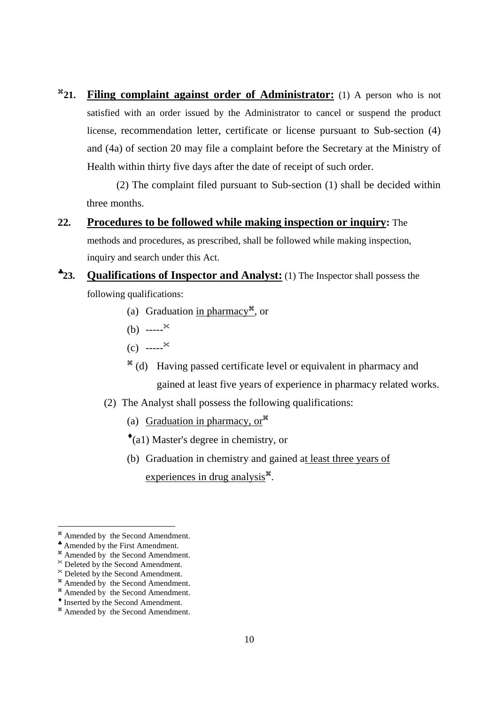$*_{21.}$ **21. Filing complaint against order of Administrator:** (1) A person who is not satisfied with an order issued by the Administrator to cancel or suspend the product license, recommendation letter, certificate or license pursuant to Sub-section (4) and (4a) of section 20 may file a complaint before the Secretary at the Ministry of Health within thirty five days after the date of receipt of such order.

 (2) The complaint filed pursuant to Sub-section (1) shall be decided within three months.

- **22. Procedures to be followed while making inspection or inquiry:** The methods and procedures, as prescribed, shall be followed while making inspection, inquiry and search under this Act.
- $*_{23}$ **23. Qualifications of Inspector and Analyst:** (1) The Inspector shall possess the following qualifications:
	- (a) Graduation in pharmacy<sup>36</sup>, or
	- (b)  $---^*$
	- $(c)$  ----- $^{k}$
	- <sup>36</sup> (d) Having passed certificate level or equivalent in pharmacy and gained at least five years of experience in pharmacy related works.
	- (2) The Analyst shall possess the following qualifications:
		- (a) Graduation in pharmacy, or<sup> $*$ </sup>
		- ♦ (a1) Master's degree in chemistry, or
		- (b) Graduation in chemistry and gained at least three years of experiences in drug analysis<sup>\*</sup>.

<sup>&</sup>lt;sup>#</sup> Amended by the Second Amendment.

<sup>♣</sup> Amended by the First Amendment.

<sup>&</sup>lt;sup>#</sup> Amended by the Second Amendment.

Deleted by the Second Amendment.

Deleted by the Second Amendment.

<sup>&</sup>lt;sup>36</sup> Amended by the Second Amendment.

<sup>&</sup>lt;sup>\*</sup> Amended by the Second Amendment.

<sup>♦</sup> Inserted by the Second Amendment.

<sup>&</sup>lt;sup>#</sup> Amended by the Second Amendment.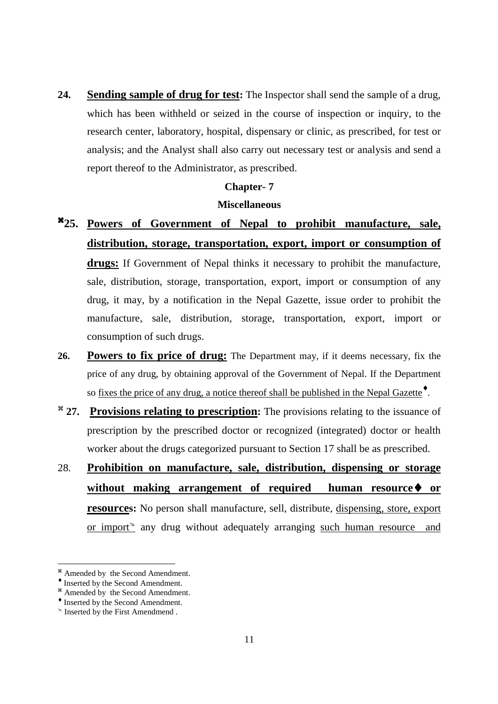**24. Sending sample of drug for test:** The Inspector shall send the sample of a drug, which has been withheld or seized in the course of inspection or inquiry, to the research center, laboratory, hospital, dispensary or clinic, as prescribed, for test or analysis; and the Analyst shall also carry out necessary test or analysis and send a report thereof to the Administrator, as prescribed.

#### **Chapter- 7**

#### **Miscellaneous**

- -**25. Powers of Government of Nepal to prohibit manufacture, sale, distribution, storage, transportation, export, import or consumption of drugs:** If Government of Nepal thinks it necessary to prohibit the manufacture, sale, distribution, storage, transportation, export, import or consumption of any drug, it may, by a notification in the Nepal Gazette, issue order to prohibit the manufacture, sale, distribution, storage, transportation, export, import or consumption of such drugs.
- **26. Powers to fix price of drug:** The Department may, if it deems necessary, fix the price of any drug, by obtaining approval of the Government of Nepal. If the Department so <u>fixes the price of any drug, a notice thereof shall be published in the Nepal Gazette</u><sup>•</sup>.
- <sup>\*</sup> 27. Provisions relating to prescription: The provisions relating to the issuance of prescription by the prescribed doctor or recognized (integrated) doctor or health worker about the drugs categorized pursuant to Section 17 shall be as prescribed.
- 28. **Prohibition on manufacture, sale, distribution, dispensing or storage without making arrangement of required human resource**♦ **or resources:** No person shall manufacture, sell, distribute, dispensing, store, export or import $\approx$  any drug without adequately arranging such human resource and

<sup>&</sup>lt;sup>#</sup> Amended by the Second Amendment.

<sup>♦</sup> Inserted by the Second Amendment.

<sup>&</sup>lt;sup>\*</sup> Amended by the Second Amendment.

<sup>♦</sup> Inserted by the Second Amendment.

 $\approx$  Inserted by the First Amendmend.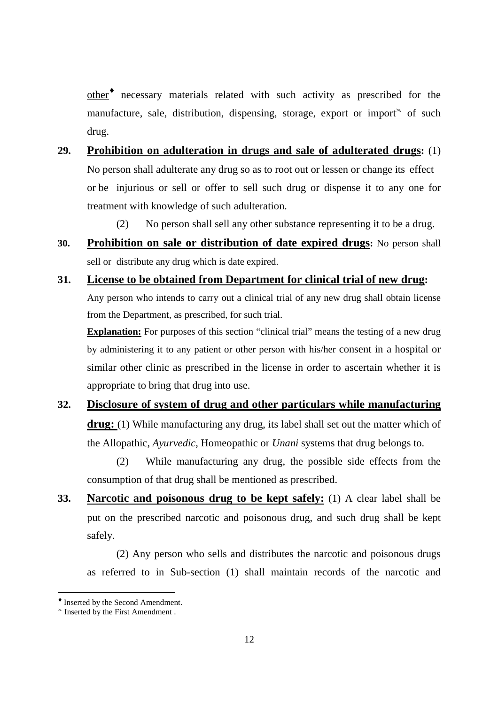other<sup>+</sup> necessary materials related with such activity as prescribed for the manufacture, sale, distribution, dispensing, storage, export or import $\alpha$  of such drug.

- **29. Prohibition on adulteration in drugs and sale of adulterated drugs:** (1) No person shall adulterate any drug so as to root out or lessen or change its effect or be injurious or sell or offer to sell such drug or dispense it to any one for treatment with knowledge of such adulteration.
	- (2) No person shall sell any other substance representing it to be a drug.
- **30. Prohibition on sale or distribution of date expired drugs:** No person shall sell or distribute any drug which is date expired.
- **31. License to be obtained from Department for clinical trial of new drug:**  Any person who intends to carry out a clinical trial of any new drug shall obtain license from the Department, as prescribed, for such trial.

**Explanation:** For purposes of this section "clinical trial" means the testing of a new drug by administering it to any patient or other person with his/her consent in a hospital or similar other clinic as prescribed in the license in order to ascertain whether it is appropriate to bring that drug into use.

# **32. Disclosure of system of drug and other particulars while manufacturing**  drug: (1) While manufacturing any drug, its label shall set out the matter which of the Allopathic, *Ayurvedic*, Homeopathic or *Unani* systems that drug belongs to.

 (2) While manufacturing any drug, the possible side effects from the consumption of that drug shall be mentioned as prescribed.

**33. Narcotic and poisonous drug to be kept safely:** (1) A clear label shall be put on the prescribed narcotic and poisonous drug, and such drug shall be kept safely.

 (2) Any person who sells and distributes the narcotic and poisonous drugs as referred to in Sub-section (1) shall maintain records of the narcotic and

<sup>♦</sup> Inserted by the Second Amendment.

 $\triangle$  Inserted by the First Amendment.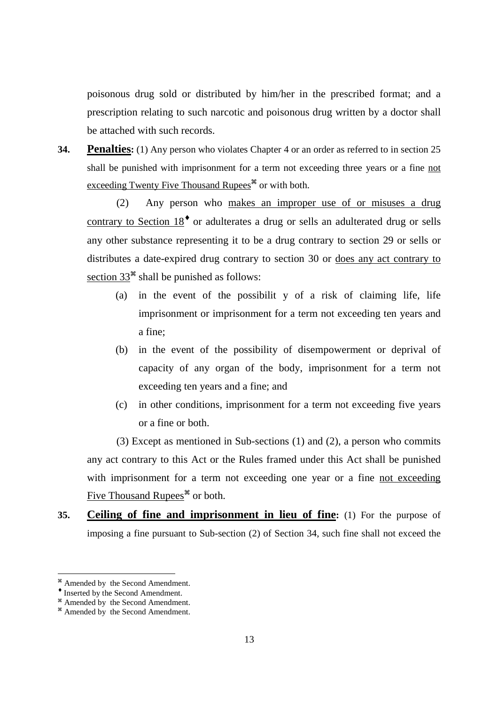poisonous drug sold or distributed by him/her in the prescribed format; and a prescription relating to such narcotic and poisonous drug written by a doctor shall be attached with such records.

**34. Penalties:** (1) Any person who violates Chapter 4 or an order as referred to in section 25 shall be punished with imprisonment for a term not exceeding three years or a fine not exceeding Twenty Five Thousand Rupees<sup>\*</sup> or with both.

 (2) Any person who makes an improper use of or misuses a drug contrary to Section  $18<sup>*</sup>$  or adulterates a drug or sells an adulterated drug or sells any other substance representing it to be a drug contrary to section 29 or sells or distributes a date-expired drug contrary to section 30 or does any act contrary to section  $33^*$  shall be punished as follows:

- (a) in the event of the possibilit y of a risk of claiming life, life imprisonment or imprisonment for a term not exceeding ten years and a fine;
- (b) in the event of the possibility of disempowerment or deprival of capacity of any organ of the body, imprisonment for a term not exceeding ten years and a fine; and
- (c) in other conditions, imprisonment for a term not exceeding five years or a fine or both.

 (3) Except as mentioned in Sub-sections (1) and (2), a person who commits any act contrary to this Act or the Rules framed under this Act shall be punished with imprisonment for a term not exceeding one year or a fine not exceeding Five Thousand Rupees<sup>\*</sup> or both.

**35. Ceiling of fine and imprisonment in lieu of fine:** (1) For the purpose of imposing a fine pursuant to Sub-section (2) of Section 34, such fine shall not exceed the

<sup>&</sup>lt;sup>36</sup> Amended by the Second Amendment.

<sup>♦</sup> Inserted by the Second Amendment.

<sup>&</sup>lt;sup>\*</sup> Amended by the Second Amendment.

<sup>&</sup>lt;sup>#</sup> Amended by the Second Amendment.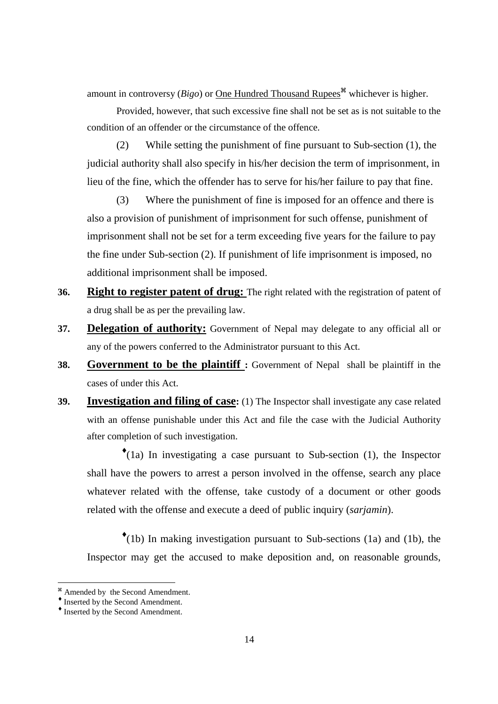amount in controversy ( $Bigo$ ) or <u>One Hundred Thousand Rupees</u><sup> $#$ </sup> whichever is higher.

 Provided, however, that such excessive fine shall not be set as is not suitable to the condition of an offender or the circumstance of the offence.

 (2) While setting the punishment of fine pursuant to Sub-section (1), the judicial authority shall also specify in his/her decision the term of imprisonment, in lieu of the fine, which the offender has to serve for his/her failure to pay that fine.

 (3) Where the punishment of fine is imposed for an offence and there is also a provision of punishment of imprisonment for such offense, punishment of imprisonment shall not be set for a term exceeding five years for the failure to pay the fine under Sub-section (2). If punishment of life imprisonment is imposed, no additional imprisonment shall be imposed.

- **36. Right to register patent of drug:** The right related with the registration of patent of a drug shall be as per the prevailing law.
- **37. Delegation of authority:** Government of Nepal may delegate to any official all or any of the powers conferred to the Administrator pursuant to this Act.
- **38. Government to be the plaintiff :** Government of Nepal shall be plaintiff in the cases of under this Act.
- **39. Investigation and filing of case:** (1) The Inspector shall investigate any case related with an offense punishable under this Act and file the case with the Judicial Authority after completion of such investigation.

♦ (1a) In investigating a case pursuant to Sub-section (1), the Inspector shall have the powers to arrest a person involved in the offense, search any place whatever related with the offense, take custody of a document or other goods related with the offense and execute a deed of public inquiry (*sarjamin*).

♦ (1b) In making investigation pursuant to Sub-sections (1a) and (1b), the Inspector may get the accused to make deposition and, on reasonable grounds,

<sup>&</sup>lt;sup>36</sup> Amended by the Second Amendment.

<sup>♦</sup> Inserted by the Second Amendment.

<sup>♦</sup> Inserted by the Second Amendment.